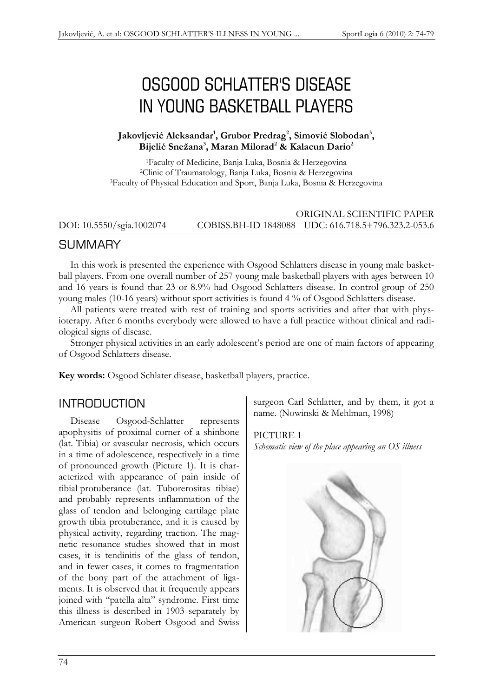# OSGOOD SCHLATTER'S DISEASE IN YOUNG BASKETBALL PLAYERS

#### **Jakovljević Aleksandar<sup>1</sup> , Grubor Predrag<sup>2</sup> , Simović Slobodan<sup>3</sup> , Bijelić Snežana<sup>3</sup> , Maran Milorad<sup>2</sup> & Kalacun Dario<sup>2</sup>**

<sup>1</sup>Faculty of Medicine, Banja Luka, Bosnia & Herzegovina <sup>2</sup>Clinic of Traumatology, Banja Luka, Bosnia & Herzegovina <sup>3</sup>Faculty of Physical Education and Sport, Banja Luka, Bosnia & Herzegovina

#### ORIGINAL SCIENTIFIC PAPER DOI: 10.5550/sgia.1002074 COBISS.BH-ID 1848088 UDC: 616.718.5+796.323.2-053.6

### **SUMMARY**

In this work is presented the experience with Osgood Schlatters disease in young male basketball players. From one overall number of 257 young male basketball players with ages between 10 and 16 years is found that 23 or 8.9% had Osgood Schlatters disease. In control group of 250 young males (10-16 years) without sport activities is found 4 % of Osgood Schlatters disease.

All patients were treated with rest of training and sports activities and after that with physioterapy. After 6 months everybody were allowed to have a full practice without clinical and radiological signs of disease.

Stronger physical activities in an early adolescent's period are one of main factors of appearing of Osgood Schlatters disease.

**Key words:** Osgood Schlater disease, basketball players, practice.

### INTRODUCTION

Disease Osgood-Schlatter represents apophysitis of proximal corner of a shinbone (lat. Tibia) or avascular necrosis, which occurs in a time of adolescence, respectively in a time of pronounced growth (Picture 1). It is characterized with appearance of pain inside of tibial protuberance (lat. Tuborerositas tibiae) and probably represents inflammation of the glass of tendon and belonging cartilage plate growth tibia protuberance, and it is caused by physical activity, regarding traction. The magnetic resonance studies showed that in most cases, it is tendinitis of the glass of tendon, and in fewer cases, it comes to fragmentation of the bony part of the attachment of ligaments. It is observed that it frequently appears joined with "patella alta" syndrome. First time this illness is described in 1903 separately by American surgeon Robert Osgood and Swiss surgeon Carl Schlatter, and by them, it got a name. (Nowinski & Mehlman, 1998)

#### PICTURE 1

*Schematic view of the place appearing an OS illness*

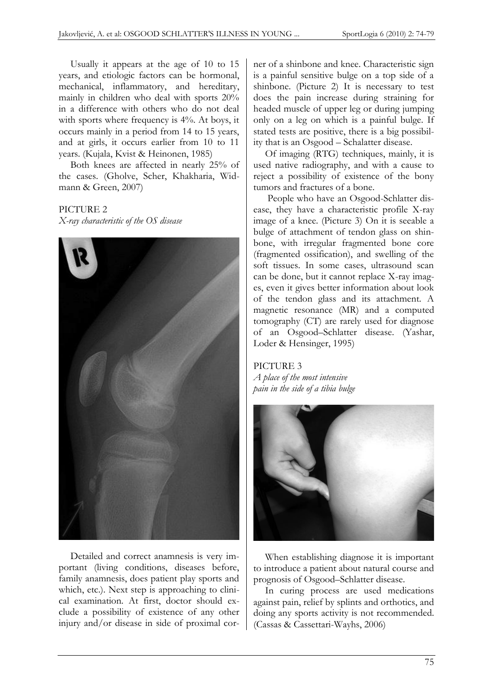Usually it appears at the age of 10 to 15 years, and etiologic factors can be hormonal, mechanical, inflammatory, and hereditary, mainly in children who deal with sports 20% in a difference with others who do not deal with sports where frequency is 4%. At boys, it occurs mainly in a period from 14 to 15 years, and at girls, it occurs earlier from 10 to 11 years. (Kujala, Kvist & Heinonen, 1985)

Both knees are affected in nearly 25% of the cases. (Gholve, Scher, Khakharia, Widmann & Green, 2007)

PICTURE 2

*X-ray characteristic of the OS disease*



Detailed and correct anamnesis is very important (living conditions, diseases before, family anamnesis, does patient play sports and which, etc.). Next step is approaching to clinical examination. At first, doctor should exclude a possibility of existence of any other injury and/or disease in side of proximal corner of a shinbone and knee. Characteristic sign is a painful sensitive bulge on a top side of a shinbone. (Picture 2) It is necessary to test does the pain increase during straining for headed muscle of upper leg or during jumping only on a leg on which is a painful bulge. If stated tests are positive, there is a big possibility that is an Osgood – Schalatter disease.

Of imaging (RTG) techniques, mainly, it is used native radiography, and with a cause to reject a possibility of existence of the bony tumors and fractures of a bone.

People who have an Osgood-Schlatter disease, they have a characteristic profile X-ray image of a knee. (Picture 3) On it is seeable a bulge of attachment of tendon glass on shinbone, with irregular fragmented bone core (fragmented ossification), and swelling of the soft tissues. In some cases, ultrasound scan can be done, but it cannot replace X-ray images, even it gives better information about look of the tendon glass and its attachment. A magnetic resonance (MR) and a computed tomography (CT) are rarely used for diagnose of an Osgood–Schlatter disease. (Yashar, Loder & Hensinger, 1995)

## PICTURE 3

*A place of the most intensive pain in the side of a tibia bulge*



When establishing diagnose it is important to introduce a patient about natural course and prognosis of Osgood–Schlatter disease.

In curing process are used medications against pain, relief by splints and orthotics, and doing any sports activity is not recommended. (Cassas & Cassettari-Wayhs, 2006)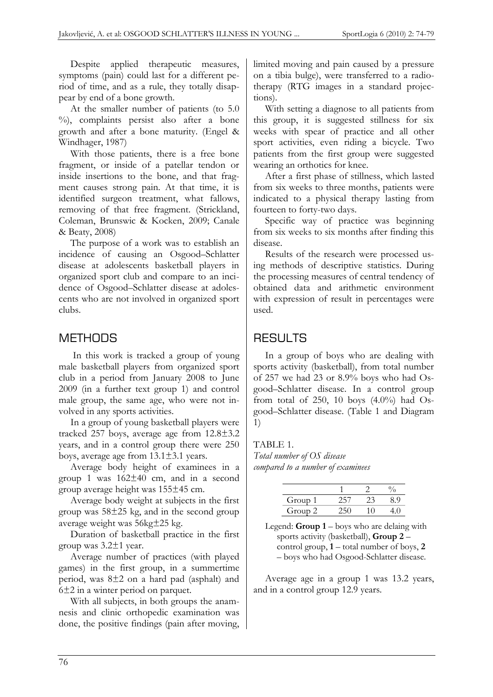Despite applied therapeutic measures, symptoms (pain) could last for a different period of time, and as a rule, they totally disappear by end of a bone growth.

At the smaller number of patients (to 5.0  $\%$ ), complaints persist also after a bone growth and after a bone maturity. (Engel & Windhager, 1987)

With those patients, there is a free bone fragment, or inside of a patellar tendon or inside insertions to the bone, and that fragment causes strong pain. At that time, it is identified surgeon treatment, what fallows, removing of that free fragment. (Strickland, Coleman, Brunswic & Kocken, 2009; Canale & Beaty, 2008)

The purpose of a work was to establish an incidence of causing an Osgood–Schlatter disease at adolescents basketball players in organized sport club and compare to an incidence of Osgood–Schlatter disease at adolescents who are not involved in organized sport clubs.

### METHODS

In this work is tracked a group of young male basketball players from organized sport club in a period from January 2008 to June 2009 (in a further text group 1) and control male group, the same age, who were not involved in any sports activities.

In a group of young basketball players were tracked 257 boys, average age from 12.8±3.2 years, and in a control group there were 250 boys, average age from 13.1±3.1 years.

Average body height of examinees in a group 1 was 162±40 cm, and in a second group average height was 155±45 cm.

Average body weight at subjects in the first group was 58±25 kg, and in the second group average weight was 56kg±25 kg.

Duration of basketball practice in the first group was 3.2±1 year.

Average number of practices (with played games) in the first group, in a summertime period, was 8±2 on a hard pad (asphalt) and 6±2 in a winter period on parquet.

With all subjects, in both groups the anamnesis and clinic orthopedic examination was done, the positive findings (pain after moving, limited moving and pain caused by a pressure on a tibia bulge), were transferred to a radiotherapy (RTG images in a standard projections).

With setting a diagnose to all patients from this group, it is suggested stillness for six weeks with spear of practice and all other sport activities, even riding a bicycle. Two patients from the first group were suggested wearing an orthotics for knee.

After a first phase of stillness, which lasted from six weeks to three months, patients were indicated to a physical therapy lasting from fourteen to forty-two days.

Specific way of practice was beginning from six weeks to six months after finding this disease.

Results of the research were processed using methods of descriptive statistics. During the processing measures of central tendency of obtained data and arithmetic environment with expression of result in percentages were used.

## **RESULTS**

In a group of boys who are dealing with sports activity (basketball), from total number of 257 we had 23 or 8.9% boys who had Osgood–Schlatter disease. In a control group from total of 250, 10 boys  $(4.0\%)$  had Osgood–Schlatter disease. (Table 1 and Diagram 1)

#### TABLE 1.

*Total number of OS disease compared to a number of examinees*

| Group 1 |  |  |
|---------|--|--|
| Group 2 |  |  |

Legend: **Group 1** – boys who are delaing with sports activity (basketball), **Group 2** – control group, **1** – total number of boys, **2** – boys who had Osgood-Schlatter disease.

Average age in a group 1 was 13.2 years, and in a control group 12.9 years.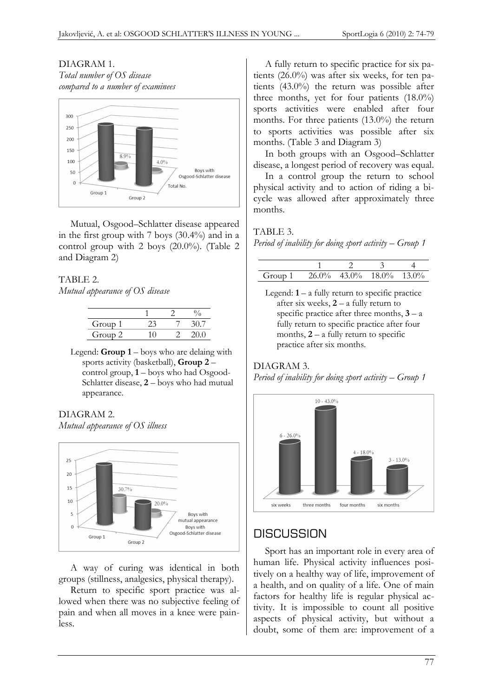#### DIAGRAM 1. *Total number of OS disease compared to a number of examinees*



Mutual, Osgood–Schlatter disease appeared in the first group with 7 boys (30.4%) and in a control group with 2 boys (20.0%). (Table 2 and Diagram 2)

#### TABLE 2.

*Mutual appearance of OS disease*

| Group 1 |  |  |
|---------|--|--|
| Group 2 |  |  |

Legend: **Group 1** – boys who are delaing with sports activity (basketball), **Group 2** – control group, **1** – boys who had Osgood-Schlatter disease, **2** – boys who had mutual appearance.

### DIAGRAM 2.

*Mutual appearance of OS illness*



A way of curing was identical in both groups (stillness, analgesics, physical therapy).

Return to specific sport practice was allowed when there was no subjective feeling of pain and when all moves in a knee were painless.

A fully return to specific practice for six patients (26.0%) was after six weeks, for ten patients (43.0%) the return was possible after three months, yet for four patients (18.0%) sports activities were enabled after four months. For three patients (13.0%) the return to sports activities was possible after six months. (Table 3 and Diagram 3)

In both groups with an Osgood–Schlatter disease, a longest period of recovery was equal.

In a control group the return to school physical activity and to action of riding a bicycle was allowed after approximately three months.

#### TABLE 3. *Period of inability for doing sport activity – Group 1*

| Group 1 |  | $26.0\%$ 43.0% 18.0% 13.0% |  |
|---------|--|----------------------------|--|

Legend: **1** – a fully return to specific practice after six weeks, **2** – a fully return to specific practice after three months,  $3 - a$ fully return to specific practice after four months, **2** – a fully return to specific practice after six months.

### DIAGRAM 3.

*Period of inability for doing sport activity – Group 1*



## **DISCUSSION**

Sport has an important role in every area of human life. Physical activity influences positively on a healthy way of life, improvement of a health, and on quality of a life. One of main factors for healthy life is regular physical activity. It is impossible to count all positive aspects of physical activity, but without a doubt, some of them are: improvement of a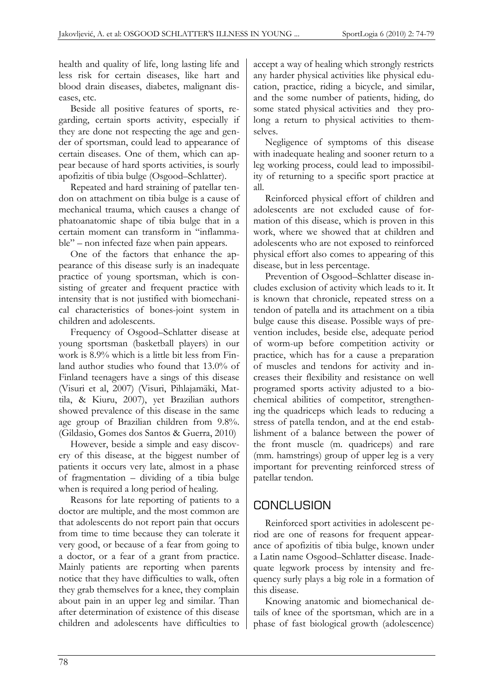health and quality of life, long lasting life and less risk for certain diseases, like hart and blood drain diseases, diabetes, malignant diseases, etc.

Beside all positive features of sports, regarding, certain sports activity, especially if they are done not respecting the age and gender of sportsman, could lead to appearance of certain diseases. One of them, which can appear because of hard sports activities, is sourly apofizitis of tibia bulge (Osgood–Schlatter).

Repeated and hard straining of patellar tendon on attachment on tibia bulge is a cause of mechanical trauma, which causes a change of phatoanatomic shape of tibia bulge that in a certain moment can transform in "inflammable" – non infected faze when pain appears.

One of the factors that enhance the appearance of this disease surly is an inadequate practice of young sportsman, which is consisting of greater and frequent practice with intensity that is not justified with biomechanical characteristics of bones-joint system in children and adolescents.

Frequency of Osgood–Schlatter disease at young sportsman (basketball players) in our work is 8.9% which is a little bit less from Finland author studies who found that 13.0% of Finland teenagers have a sings of this disease (Visuri et al, 2007) (Visuri, Pihlajamäki, Mattila, & Kiuru, 2007), yet Brazilian authors showed prevalence of this disease in the same age group of Brazilian children from 9.8%. (Gildasio, Gomes dos Santos & Guerra, 2010)

However, beside a simple and easy discovery of this disease, at the biggest number of patients it occurs very late, almost in a phase of fragmentation – dividing of a tibia bulge when is required a long period of healing.

Reasons for late reporting of patients to a doctor are multiple, and the most common are that adolescents do not report pain that occurs from time to time because they can tolerate it very good, or because of a fear from going to a doctor, or a fear of a grant from practice. Mainly patients are reporting when parents notice that they have difficulties to walk, often they grab themselves for a knee, they complain about pain in an upper leg and similar. Than after determination of existence of this disease children and adolescents have difficulties to

accept a way of healing which strongly restricts any harder physical activities like physical education, practice, riding a bicycle, and similar, and the some number of patients, hiding, do some stated physical activities and they prolong a return to physical activities to themselves.

Negligence of symptoms of this disease with inadequate healing and sooner return to a leg working process, could lead to impossibility of returning to a specific sport practice at all.

Reinforced physical effort of children and adolescents are not excluded cause of formation of this disease, which is proven in this work, where we showed that at children and adolescents who are not exposed to reinforced physical effort also comes to appearing of this disease, but in less percentage.

Prevention of Osgood–Schlatter disease includes exclusion of activity which leads to it. It is known that chronicle, repeated stress on a tendon of patella and its attachment on a tibia bulge cause this disease. Possible ways of prevention includes, beside else, adequate period of worm-up before competition activity or practice, which has for a cause a preparation of muscles and tendons for activity and increases their flexibility and resistance on well programed sports activity adjusted to a biochemical abilities of competitor, strengthening the quadriceps which leads to reducing a stress of patella tendon, and at the end establishment of a balance between the power of the front muscle (m. quadriceps) and rare (mm. hamstrings) group of upper leg is a very important for preventing reinforced stress of patellar tendon.

## CONCLUSION

Reinforced sport activities in adolescent period are one of reasons for frequent appearance of apofizitis of tibia bulge, known under a Latin name Osgood–Schlatter disease. Inadequate legwork process by intensity and frequency surly plays a big role in a formation of this disease.

Knowing anatomic and biomechanical details of knee of the sportsman, which are in a phase of fast biological growth (adolescence)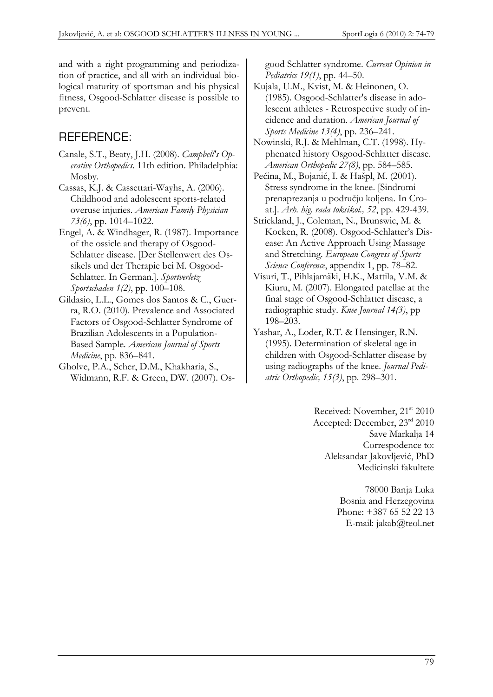and with a right programming and periodization of practice, and all with an individual biological maturity of sportsman and his physical fitness, Osgood-Schlatter disease is possible to prevent.

## REFERENCE:

- Canale, S.T., Beaty, J.H. (2008). *Campbell's Operative Orthopedics*. 11th edition. Philadelphia: Mosby.
- Cassas, K.J. & Cassettari-Wayhs, A. (2006). Childhood and adolescent sports-related overuse injuries. *American Family Physician 73(6)*, pp. 1014–1022.
- Engel, A. & Windhager, R. (1987). Importance of the ossicle and therapy of Osgood-Schlatter disease. [Der Stellenwert des Ossikels und der Therapie bei M. Osgood-Schlatter. In German.]. *Sportverletz Sportschaden 1(2)*, pp. 100–108.
- Gildasio, L.L., Gomes dos Santos & C., Guerra, R.O. (2010). Prevalence and Associated Factors of Osgood-Schlatter Syndrome of Brazilian Adolescents in a Population-Based Sample. *American Journal of Sports Medicine*, pp. 836–841.
- Gholve, P.A., Scher, D.M., Khakharia, S., Widmann, R.F. & Green, DW. (2007). Os-

good Schlatter syndrome. *Current Opinion in Pediatrics 19(1)*, pp. 44–50.

- Kujala, U.M., Kvist, M. & Heinonen, O. (1985). Osgood-Schlatter's disease in adolescent athletes - Retrospective study of incidence and duration. *American Journal of Sports Medicine 13(4)*, pp. 236–241.
- Nowinski, R.J. & Mehlman, C.T. (1998). Hyphenated history Osgood-Schlatter disease. *American Orthopedic 27(8)*, pp. 584–585.
- Pećina, M., Bojanić, I. & Hašpl, M. (2001). Stress syndrome in the knee. [Sindromi prenaprezanja u području koljena. In Croat.]. *Arh. hig. rada toksikol., 52*, pp. 429-439.
- Strickland, J., Coleman, N., Brunswic, M. & Kocken, R. (2008). Osgood-Schlatter's Disease: An Active Approach Using Massage and Stretching. *European Congress of Sports Science Conference*, appendix 1, pp. 78–82.
- Visuri, T., Pihlajamäki, H.K., Mattila, V.M. & Kiuru, M. (2007). Elongated patellae at the final stage of Osgood-Schlatter disease, a radiographic study. *Knee Journal 14(3)*, pp 198–203.
- Yashar, A., Loder, R.T. & Hensinger, R.N. (1995). Determination of skeletal age in children with Osgood-Schlatter disease by using radiographs of the knee. *Journal Pediatric Orthopedic, 15(3)*, pp. 298–301.

Received: November, 21<sup>st</sup> 2010 Accepted: December, 23rd 2010 Save Markalja 14 Correspodence to: Aleksandar Jakovljević, PhD Medicinski fakultete

> 78000 Banja Luka Bosnia and Herzegovina Phone: +387 65 52 22 13 E-mail: jakab@teol.net